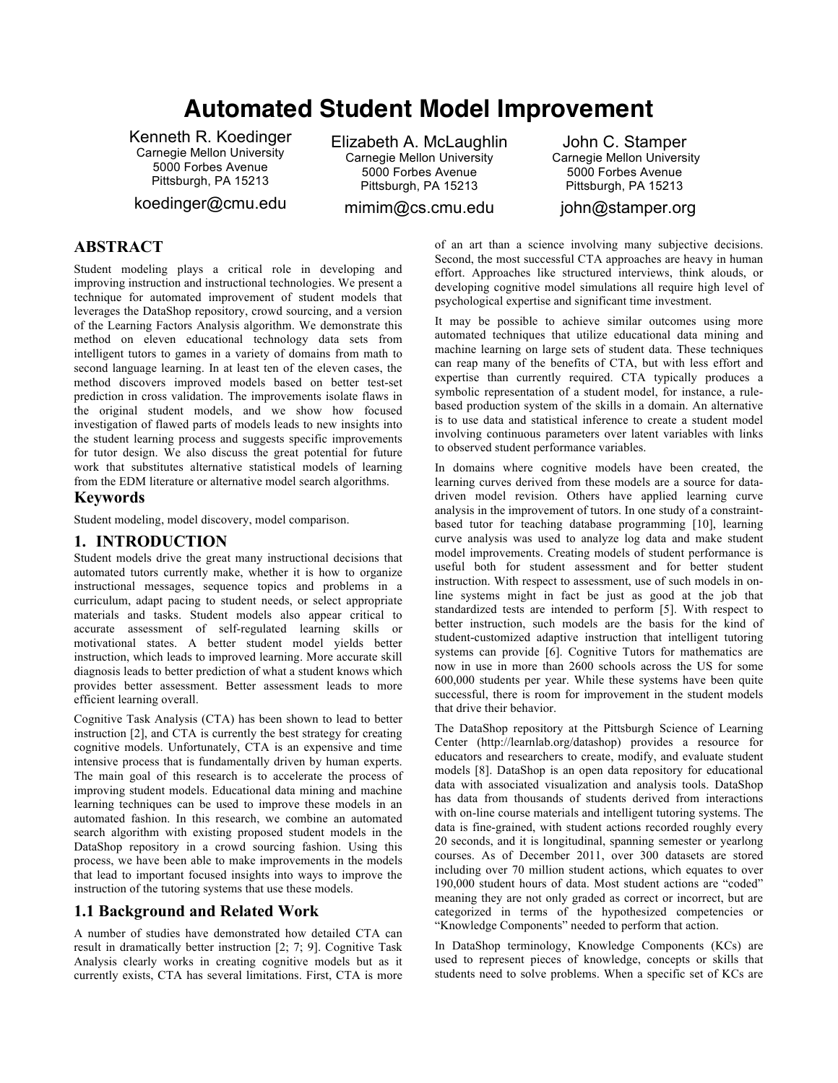# **Automated Student Model Improvement**

Kenneth R. Koedinger Carnegie Mellon University 5000 Forbes Avenue Pittsburgh, PA 15213

koedinger@cmu.edu

Elizabeth A. McLaughlin Carnegie Mellon University 5000 Forbes Avenue Pittsburgh, PA 15213

mimim@cs.cmu.edu

John C. Stamper Carnegie Mellon University 5000 Forbes Avenue Pittsburgh, PA 15213

john@stamper.org

# **ABSTRACT**

Student modeling plays a critical role in developing and improving instruction and instructional technologies. We present a technique for automated improvement of student models that leverages the DataShop repository, crowd sourcing, and a version of the Learning Factors Analysis algorithm. We demonstrate this method on eleven educational technology data sets from intelligent tutors to games in a variety of domains from math to second language learning. In at least ten of the eleven cases, the method discovers improved models based on better test-set prediction in cross validation. The improvements isolate flaws in the original student models, and we show how focused investigation of flawed parts of models leads to new insights into the student learning process and suggests specific improvements for tutor design. We also discuss the great potential for future work that substitutes alternative statistical models of learning from the EDM literature or alternative model search algorithms.

## **Keywords**

Student modeling, model discovery, model comparison.

## **1. INTRODUCTION**

Student models drive the great many instructional decisions that automated tutors currently make, whether it is how to organize instructional messages, sequence topics and problems in a curriculum, adapt pacing to student needs, or select appropriate materials and tasks. Student models also appear critical to accurate assessment of self-regulated learning skills or motivational states. A better student model yields better instruction, which leads to improved learning. More accurate skill diagnosis leads to better prediction of what a student knows which provides better assessment. Better assessment leads to more efficient learning overall.

Cognitive Task Analysis (CTA) has been shown to lead to better instruction [2], and CTA is currently the best strategy for creating cognitive models. Unfortunately, CTA is an expensive and time intensive process that is fundamentally driven by human experts. The main goal of this research is to accelerate the process of improving student models. Educational data mining and machine learning techniques can be used to improve these models in an automated fashion. In this research, we combine an automated search algorithm with existing proposed student models in the DataShop repository in a crowd sourcing fashion. Using this process, we have been able to make improvements in the models that lead to important focused insights into ways to improve the instruction of the tutoring systems that use these models.

## **1.1 Background and Related Work**

A number of studies have demonstrated how detailed CTA can result in dramatically better instruction [2; 7; 9]. Cognitive Task Analysis clearly works in creating cognitive models but as it currently exists, CTA has several limitations. First, CTA is more

of an art than a science involving many subjective decisions. Second, the most successful CTA approaches are heavy in human effort. Approaches like structured interviews, think alouds, or developing cognitive model simulations all require high level of psychological expertise and significant time investment.

It may be possible to achieve similar outcomes using more automated techniques that utilize educational data mining and machine learning on large sets of student data. These techniques can reap many of the benefits of CTA, but with less effort and expertise than currently required. CTA typically produces a symbolic representation of a student model, for instance, a rulebased production system of the skills in a domain. An alternative is to use data and statistical inference to create a student model involving continuous parameters over latent variables with links to observed student performance variables.

In domains where cognitive models have been created, the learning curves derived from these models are a source for datadriven model revision. Others have applied learning curve analysis in the improvement of tutors. In one study of a constraintbased tutor for teaching database programming [10], learning curve analysis was used to analyze log data and make student model improvements. Creating models of student performance is useful both for student assessment and for better student instruction. With respect to assessment, use of such models in online systems might in fact be just as good at the job that standardized tests are intended to perform [5]. With respect to better instruction, such models are the basis for the kind of student-customized adaptive instruction that intelligent tutoring systems can provide [6]. Cognitive Tutors for mathematics are now in use in more than 2600 schools across the US for some 600,000 students per year. While these systems have been quite successful, there is room for improvement in the student models that drive their behavior.

The DataShop repository at the Pittsburgh Science of Learning Center (http://learnlab.org/datashop) provides a resource for educators and researchers to create, modify, and evaluate student models [8]. DataShop is an open data repository for educational data with associated visualization and analysis tools. DataShop has data from thousands of students derived from interactions with on-line course materials and intelligent tutoring systems. The data is fine-grained, with student actions recorded roughly every 20 seconds, and it is longitudinal, spanning semester or yearlong courses. As of December 2011, over 300 datasets are stored including over 70 million student actions, which equates to over 190,000 student hours of data. Most student actions are "coded" meaning they are not only graded as correct or incorrect, but are categorized in terms of the hypothesized competencies or "Knowledge Components" needed to perform that action.

In DataShop terminology, Knowledge Components (KCs) are used to represent pieces of knowledge, concepts or skills that students need to solve problems. When a specific set of KCs are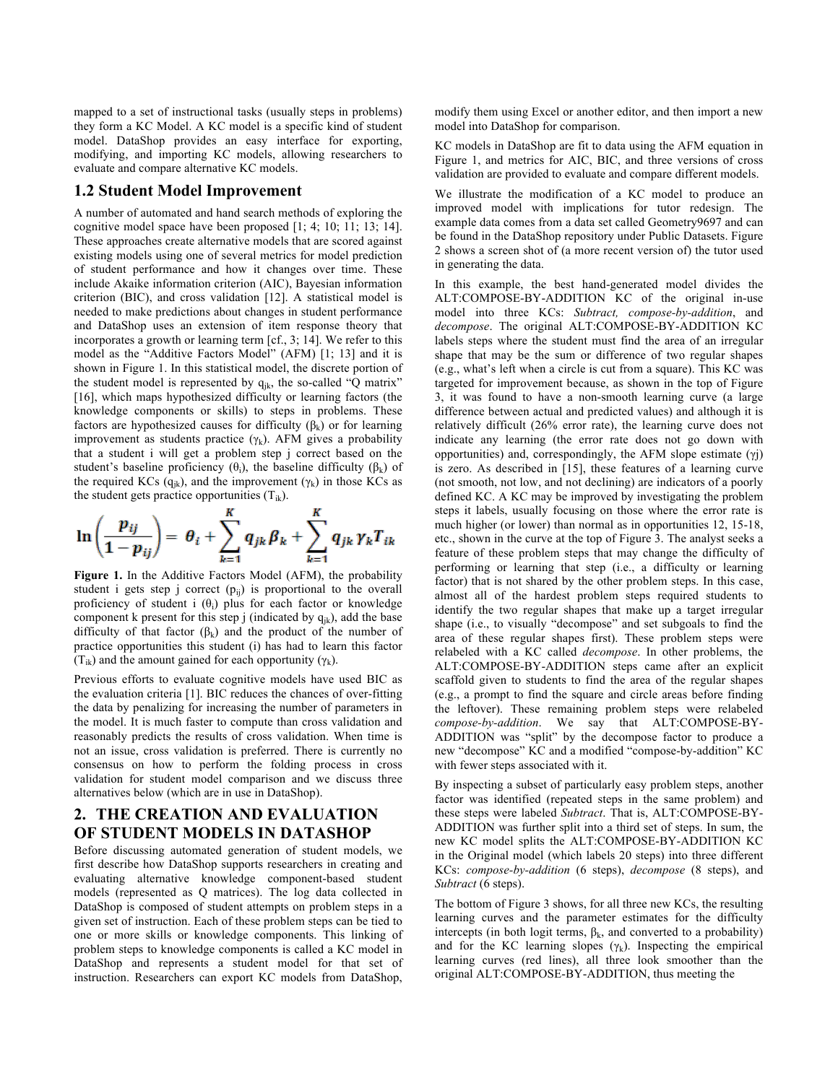mapped to a set of instructional tasks (usually steps in problems) they form a KC Model. A KC model is a specific kind of student model. DataShop provides an easy interface for exporting, modifying, and importing KC models, allowing researchers to evaluate and compare alternative KC models.

#### **1.2 Student Model Improvement**

A number of automated and hand search methods of exploring the cognitive model space have been proposed [1; 4; 10; 11; 13; 14]. These approaches create alternative models that are scored against existing models using one of several metrics for model prediction of student performance and how it changes over time. These include Akaike information criterion (AIC), Bayesian information criterion (BIC), and cross validation [12]. A statistical model is needed to make predictions about changes in student performance and DataShop uses an extension of item response theory that incorporates a growth or learning term [cf., 3; 14]. We refer to this model as the "Additive Factors Model" (AFM) [1; 13] and it is shown in Figure 1. In this statistical model, the discrete portion of the student model is represented by  $q_{jk}$ , the so-called "Q matrix" [16], which maps hypothesized difficulty or learning factors (the knowledge components or skills) to steps in problems. These factors are hypothesized causes for difficulty  $(\beta_k)$  or for learning improvement as students practice  $(\gamma_k)$ . AFM gives a probability that a student i will get a problem step j correct based on the student's baseline proficiency ( $\theta_i$ ), the baseline difficulty ( $\beta_k$ ) of the required KCs (q<sub>ik</sub>), and the improvement ( $\gamma_k$ ) in those KCs as



**Figure 1.** In the Additive Factors Model (AFM), the probability student i gets step j correct  $(p_{ij})$  is proportional to the overall proficiency of student i  $(\theta_i)$  plus for each factor or knowledge component k present for this step j (indicated by  $q_{ik}$ ), add the base difficulty of that factor  $(\beta_k)$  and the product of the number of practice opportunities this student (i) has had to learn this factor  $(T_{ik})$  and the amount gained for each opportunity  $(\gamma_k)$ .

Previous efforts to evaluate cognitive models have used BIC as the evaluation criteria [1]. BIC reduces the chances of over-fitting the data by penalizing for increasing the number of parameters in the model. It is much faster to compute than cross validation and reasonably predicts the results of cross validation. When time is not an issue, cross validation is preferred. There is currently no consensus on how to perform the folding process in cross validation for student model comparison and we discuss three alternatives below (which are in use in DataShop).

# **2. THE CREATION AND EVALUATION OF STUDENT MODELS IN DATASHOP**

Before discussing automated generation of student models, we first describe how DataShop supports researchers in creating and evaluating alternative knowledge component-based student models (represented as Q matrices). The log data collected in DataShop is composed of student attempts on problem steps in a given set of instruction. Each of these problem steps can be tied to one or more skills or knowledge components. This linking of problem steps to knowledge components is called a KC model in DataShop and represents a student model for that set of instruction. Researchers can export KC models from DataShop,

modify them using Excel or another editor, and then import a new model into DataShop for comparison.

KC models in DataShop are fit to data using the AFM equation in Figure 1, and metrics for AIC, BIC, and three versions of cross validation are provided to evaluate and compare different models.

We illustrate the modification of a KC model to produce an improved model with implications for tutor redesign. The example data comes from a data set called Geometry9697 and can be found in the DataShop repository under Public Datasets. Figure 2 shows a screen shot of (a more recent version of) the tutor used in generating the data.

In this example, the best hand-generated model divides the ALT:COMPOSE-BY-ADDITION KC of the original in-use model into three KCs: *Subtract, compose-by-addition*, and *decompose*. The original ALT:COMPOSE-BY-ADDITION KC labels steps where the student must find the area of an irregular shape that may be the sum or difference of two regular shapes (e.g., what's left when a circle is cut from a square). This KC was targeted for improvement because, as shown in the top of Figure 3, it was found to have a non-smooth learning curve (a large difference between actual and predicted values) and although it is relatively difficult (26% error rate), the learning curve does not indicate any learning (the error rate does not go down with opportunities) and, correspondingly, the AFM slope estimate (γj) is zero. As described in [15], these features of a learning curve (not smooth, not low, and not declining) are indicators of a poorly defined KC. A KC may be improved by investigating the problem steps it labels, usually focusing on those where the error rate is much higher (or lower) than normal as in opportunities 12, 15-18, etc., shown in the curve at the top of Figure 3. The analyst seeks a feature of these problem steps that may change the difficulty of performing or learning that step (i.e., a difficulty or learning factor) that is not shared by the other problem steps. In this case, almost all of the hardest problem steps required students to identify the two regular shapes that make up a target irregular shape (i.e., to visually "decompose" and set subgoals to find the area of these regular shapes first). These problem steps were relabeled with a KC called *decompose*. In other problems, the ALT:COMPOSE-BY-ADDITION steps came after an explicit scaffold given to students to find the area of the regular shapes (e.g., a prompt to find the square and circle areas before finding the leftover). These remaining problem steps were relabeled *compose-by-addition*. We say that ALT:COMPOSE-BY-ADDITION was "split" by the decompose factor to produce a new "decompose" KC and a modified "compose-by-addition" KC with fewer steps associated with it.

By inspecting a subset of particularly easy problem steps, another factor was identified (repeated steps in the same problem) and these steps were labeled *Subtract*. That is, ALT:COMPOSE-BY-ADDITION was further split into a third set of steps. In sum, the new KC model splits the ALT:COMPOSE-BY-ADDITION KC in the Original model (which labels 20 steps) into three different KCs: *compose-by-addition* (6 steps), *decompose* (8 steps), and *Subtract* (6 steps).

The bottom of Figure 3 shows, for all three new KCs, the resulting learning curves and the parameter estimates for the difficulty intercepts (in both logit terms,  $\beta_k$ , and converted to a probability) and for the KC learning slopes  $(\gamma_k)$ . Inspecting the empirical learning curves (red lines), all three look smoother than the original ALT:COMPOSE-BY-ADDITION, thus meeting the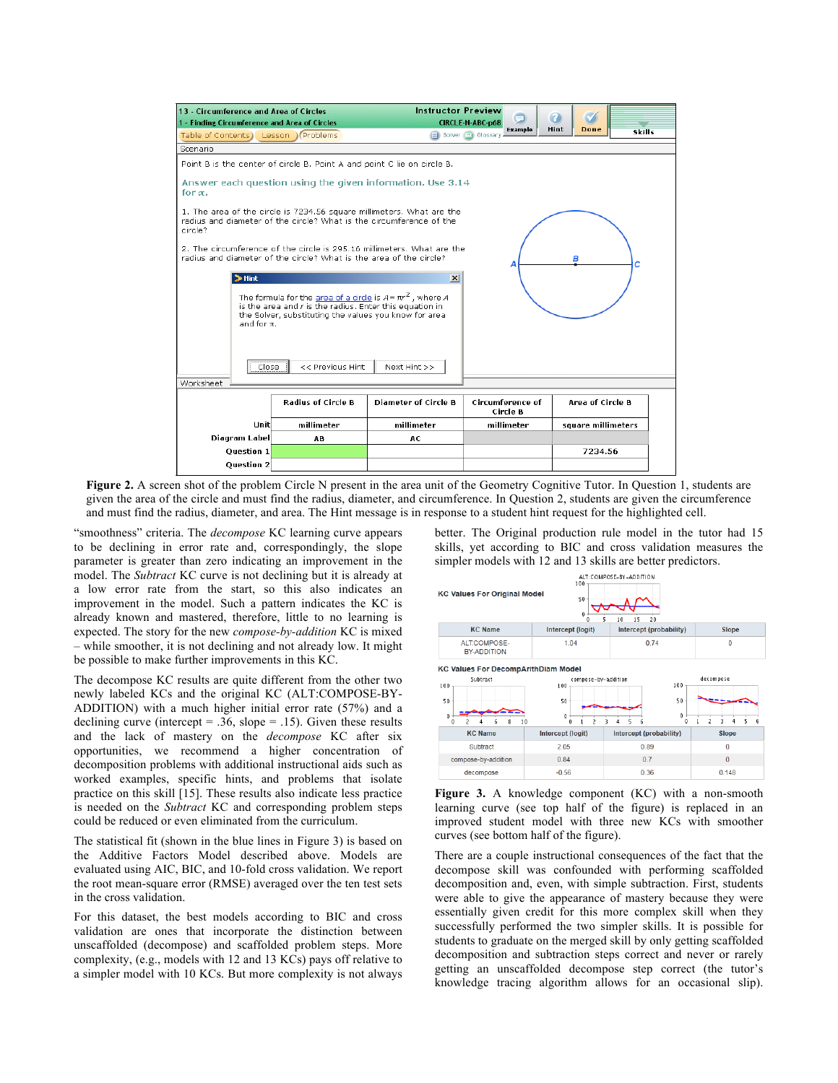

**Figure 2.** A screen shot of the problem Circle N present in the area unit of the Geometry Cognitive Tutor. In Question 1, students are given the area of the circle and must find the radius, diameter, and circumference. In Question 2, students are given the circumference and must find the radius, diameter, and area. The Hint message is in response to a student hint request for the highlighted cell.

"smoothness" criteria. The *decompose* KC learning curve appears to be declining in error rate and, correspondingly, the slope parameter is greater than zero indicating an improvement in the model. The *Subtract* KC curve is not declining but it is already at a low error rate from the start, so this also indicates an improvement in the model. Such a pattern indicates the KC is already known and mastered, therefore, little to no learning is expected. The story for the new *compose-by-addition* KC is mixed – while smoother, it is not declining and not already low. It might be possible to make further improvements in this KC.

The decompose KC results are quite different from the other two newly labeled KCs and the original KC (ALT:COMPOSE-BY-ADDITION) with a much higher initial error rate (57%) and a declining curve (intercept = .36, slope = .15). Given these results and the lack of mastery on the *decompose* KC after six opportunities, we recommend a higher concentration of decomposition problems with additional instructional aids such as worked examples, specific hints, and problems that isolate practice on this skill [15]. These results also indicate less practice is needed on the *Subtract* KC and corresponding problem steps could be reduced or even eliminated from the curriculum.

The statistical fit (shown in the blue lines in Figure 3) is based on the Additive Factors Model described above. Models are evaluated using AIC, BIC, and 10-fold cross validation. We report the root mean-square error (RMSE) averaged over the ten test sets in the cross validation.

For this dataset, the best models according to BIC and cross validation are ones that incorporate the distinction between unscaffolded (decompose) and scaffolded problem steps. More complexity, (e.g., models with 12 and 13 KCs) pays off relative to a simpler model with 10 KCs. But more complexity is not always

better. The Original production rule model in the tutor had 15 skills, yet according to BIC and cross validation measures the simpler models with 12 and 13 skills are better predictors.



**Figure 3.** A knowledge component (KC) with a non-smooth learning curve (see top half of the figure) is replaced in an improved student model with three new KCs with smoother curves (see bottom half of the figure).

There are a couple instructional consequences of the fact that the decompose skill was confounded with performing scaffolded decomposition and, even, with simple subtraction. First, students were able to give the appearance of mastery because they were essentially given credit for this more complex skill when they successfully performed the two simpler skills. It is possible for students to graduate on the merged skill by only getting scaffolded decomposition and subtraction steps correct and never or rarely getting an unscaffolded decompose step correct (the tutor's knowledge tracing algorithm allows for an occasional slip).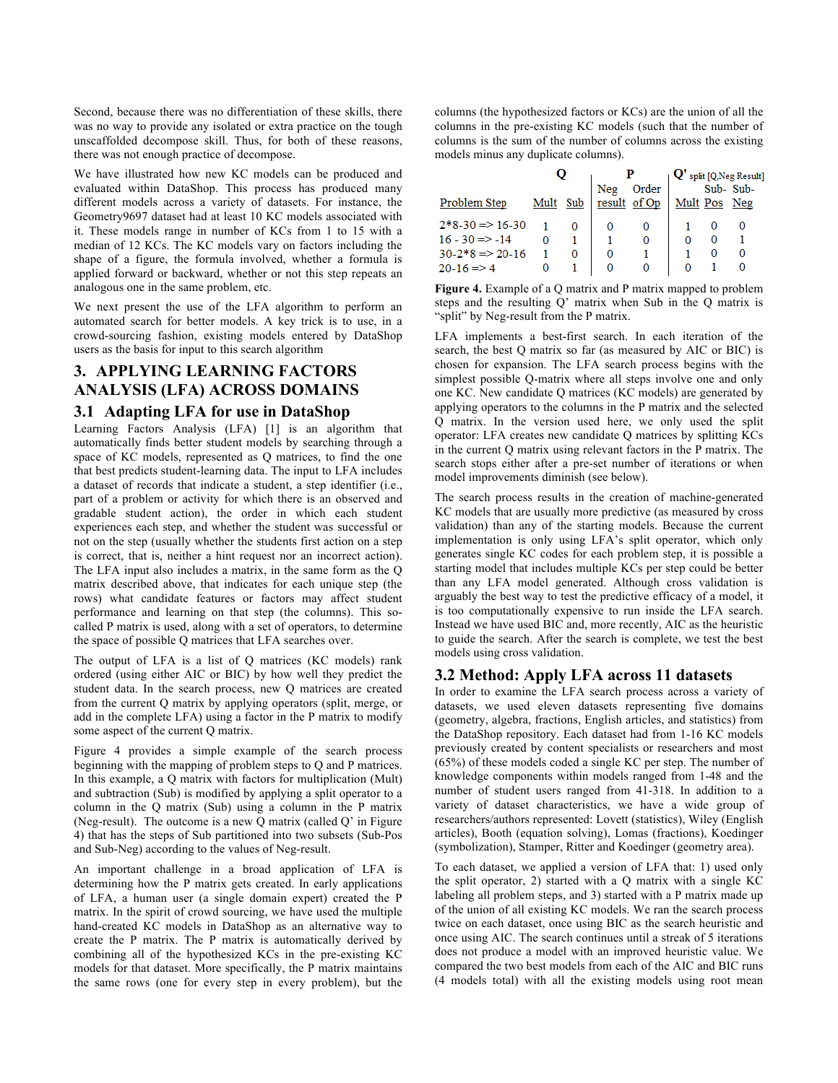Second, because there was no differentiation of these skills, there was no way to provide any isolated or extra practice on the tough unscaffolded decompose skill. Thus, for both of these reasons, there was not enough practice of decompose.

We have illustrated how new KC models can be produced and evaluated within DataShop. This process has produced many different models across a variety of datasets. For instance, the Geometry9697 dataset had at least 10 KC models associated with it. These models range in number of KCs from 1 to 15 with a median of 12 KCs. The KC models vary on factors including the shape of a figure, the formula involved, whether a formula is applied forward or backward, whether or not this step repeats an analogous one in the same problem, etc.

We next present the use of the LFA algorithm to perform an automated search for better models. A key trick is to use, in a crowd-sourcing fashion, existing models entered by DataShop users as the basis for input to this search algorithm

# **3. APPLYING LEARNING FACTORS ANALYSIS (LFA) ACROSS DOMAINS 3.1 Adapting LFA for use in DataShop**

#### Learning Factors Analysis (LFA) [1] is an algorithm that automatically finds better student models by searching through a space of KC models, represented as Q matrices, to find the one that best predicts student-learning data. The input to LFA includes a dataset of records that indicate a student, a step identifier (i.e., part of a problem or activity for which there is an observed and gradable student action), the order in which each student experiences each step, and whether the student was successful or not on the step (usually whether the students first action on a step is correct, that is, neither a hint request nor an incorrect action). The LFA input also includes a matrix, in the same form as the Q matrix described above, that indicates for each unique step (the rows) what candidate features or factors may affect student performance and learning on that step (the columns). This socalled P matrix is used, along with a set of operators, to determine the space of possible Q matrices that LFA searches over.

The output of LFA is a list of Q matrices (KC models) rank ordered (using either AIC or BIC) by how well they predict the student data. In the search process, new Q matrices are created from the current Q matrix by applying operators (split, merge, or add in the complete LFA) using a factor in the P matrix to modify some aspect of the current Q matrix.

Figure 4 provides a simple example of the search process beginning with the mapping of problem steps to Q and P matrices. In this example, a Q matrix with factors for multiplication (Mult) and subtraction (Sub) is modified by applying a split operator to a column in the Q matrix (Sub) using a column in the P matrix (Neg-result). The outcome is a new Q matrix (called Q' in Figure 4) that has the steps of Sub partitioned into two subsets (Sub-Pos and Sub-Neg) according to the values of Neg-result.

An important challenge in a broad application of LFA is determining how the P matrix gets created. In early applications of LFA, a human user (a single domain expert) created the P matrix. In the spirit of crowd sourcing, we have used the multiple hand-created KC models in DataShop as an alternative way to create the P matrix. The P matrix is automatically derived by combining all of the hypothesized KCs in the pre-existing KC models for that dataset. More specifically, the P matrix maintains the same rows (one for every step in every problem), but the columns (the hypothesized factors or KCs) are the union of all the columns in the pre-existing KC models (such that the number of columns is the sum of the number of columns across the existing models minus any duplicate columns).

|                                                                                                             |      |     |     |                       | $\mathbf{Q}'$ split [Q, Neg Result] |  |          |
|-------------------------------------------------------------------------------------------------------------|------|-----|-----|-----------------------|-------------------------------------|--|----------|
| Problem Step                                                                                                | Mult | Sub | Neg | Order<br>result of Op | Mult Pos Neg                        |  | Sub-Sub- |
| $2*8-30 \Rightarrow 16-30$<br>$16 - 30 \implies -14$<br>$30-2*8 \Rightarrow 20-16$<br>$20-16 \Rightarrow 4$ |      | 0   |     |                       |                                     |  |          |

**Figure 4.** Example of a Q matrix and P matrix mapped to problem steps and the resulting Q' matrix when Sub in the Q matrix is "split" by Neg-result from the P matrix.

LFA implements a best-first search. In each iteration of the search, the best Q matrix so far (as measured by AIC or BIC) is chosen for expansion. The LFA search process begins with the simplest possible Q-matrix where all steps involve one and only one KC. New candidate Q matrices (KC models) are generated by applying operators to the columns in the P matrix and the selected Q matrix. In the version used here, we only used the split operator: LFA creates new candidate Q matrices by splitting KCs in the current Q matrix using relevant factors in the P matrix. The search stops either after a pre-set number of iterations or when model improvements diminish (see below).

The search process results in the creation of machine-generated KC models that are usually more predictive (as measured by cross validation) than any of the starting models. Because the current implementation is only using LFA's split operator, which only generates single KC codes for each problem step, it is possible a starting model that includes multiple KCs per step could be better than any LFA model generated. Although cross validation is arguably the best way to test the predictive efficacy of a model, it is too computationally expensive to run inside the LFA search. Instead we have used BIC and, more recently, AIC as the heuristic to guide the search. After the search is complete, we test the best models using cross validation.

#### **3.2 Method: Apply LFA across 11 datasets**

In order to examine the LFA search process across a variety of datasets, we used eleven datasets representing five domains (geometry, algebra, fractions, English articles, and statistics) from the DataShop repository. Each dataset had from 1-16 KC models previously created by content specialists or researchers and most (65%) of these models coded a single KC per step. The number of knowledge components within models ranged from 1-48 and the number of student users ranged from 41-318. In addition to a variety of dataset characteristics, we have a wide group of researchers/authors represented: Lovett (statistics), Wiley (English articles), Booth (equation solving), Lomas (fractions), Koedinger (symbolization), Stamper, Ritter and Koedinger (geometry area).

To each dataset, we applied a version of LFA that: 1) used only the split operator, 2) started with a Q matrix with a single KC labeling all problem steps, and 3) started with a P matrix made up of the union of all existing KC models. We ran the search process twice on each dataset, once using BIC as the search heuristic and once using AIC. The search continues until a streak of 5 iterations does not produce a model with an improved heuristic value. We compared the two best models from each of the AIC and BIC runs (4 models total) with all the existing models using root mean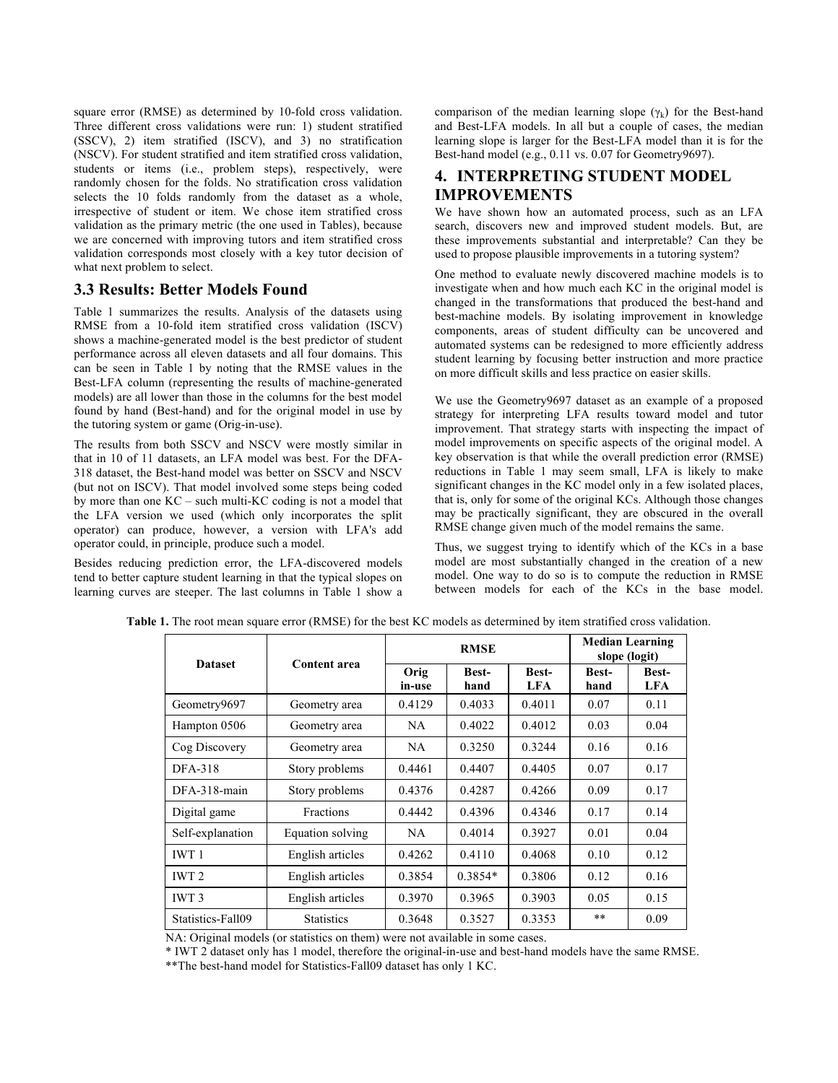square error (RMSE) as determined by 10-fold cross validation. Three different cross validations were run: 1) student stratified (SSCV), 2) item stratified (ISCV), and 3) no stratification (NSCV). For student stratified and item stratified cross validation, students or items (i.e., problem steps), respectively, were randomly chosen for the folds. No stratification cross validation selects the 10 folds randomly from the dataset as a whole, irrespective of student or item. We chose item stratified cross validation as the primary metric (the one used in Tables), because we are concerned with improving tutors and item stratified cross validation corresponds most closely with a key tutor decision of what next problem to select.

## **3.3 Results: Better Models Found**

Table 1 summarizes the results. Analysis of the datasets using RMSE from a 10-fold item stratified cross validation (ISCV) shows a machine-generated model is the best predictor of student performance across all eleven datasets and all four domains. This can be seen in Table 1 by noting that the RMSE values in the Best-LFA column (representing the results of machine-generated models) are all lower than those in the columns for the best model found by hand (Best-hand) and for the original model in use by the tutoring system or game (Orig-in-use).

The results from both SSCV and NSCV were mostly similar in that in 10 of 11 datasets, an LFA model was best. For the DFA-318 dataset, the Best-hand model was better on SSCV and NSCV (but not on ISCV). That model involved some steps being coded by more than one KC – such multi-KC coding is not a model that the LFA version we used (which only incorporates the split operator) can produce, however, a version with LFA's add operator could, in principle, produce such a model.

Besides reducing prediction error, the LFA-discovered models tend to better capture student learning in that the typical slopes on learning curves are steeper. The last columns in Table 1 show a comparison of the median learning slope  $(\gamma_k)$  for the Best-hand and Best-LFA models. In all but a couple of cases, the median learning slope is larger for the Best-LFA model than it is for the Best-hand model (e.g., 0.11 vs. 0.07 for Geometry9697).

# **4. INTERPRETING STUDENT MODEL IMPROVEMENTS**

We have shown how an automated process, such as an LFA search, discovers new and improved student models. But, are these improvements substantial and interpretable? Can they be used to propose plausible improvements in a tutoring system?

One method to evaluate newly discovered machine models is to investigate when and how much each KC in the original model is changed in the transformations that produced the best-hand and best-machine models. By isolating improvement in knowledge components, areas of student difficulty can be uncovered and automated systems can be redesigned to more efficiently address student learning by focusing better instruction and more practice on more difficult skills and less practice on easier skills.

We use the Geometry9697 dataset as an example of a proposed strategy for interpreting LFA results toward model and tutor improvement. That strategy starts with inspecting the impact of model improvements on specific aspects of the original model. A key observation is that while the overall prediction error (RMSE) reductions in Table 1 may seem small, LFA is likely to make significant changes in the KC model only in a few isolated places, that is, only for some of the original KCs. Although those changes may be practically significant, they are obscured in the overall RMSE change given much of the model remains the same.

Thus, we suggest trying to identify which of the KCs in a base model are most substantially changed in the creation of a new model. One way to do so is to compute the reduction in RMSE between models for each of the KCs in the base model.

| <b>Dataset</b>    | Content area      |                | <b>RMSE</b>          |                     | <b>Median Learning</b><br>slope (logit) |                            |
|-------------------|-------------------|----------------|----------------------|---------------------|-----------------------------------------|----------------------------|
|                   |                   | Orig<br>in-use | <b>Best-</b><br>hand | <b>Best-</b><br>LFA | <b>Best-</b><br>hand                    | <b>Best-</b><br><b>LFA</b> |
| Geometry9697      | Geometry area     | 0.4129         | 0.4033               | 0.4011              | 0.07                                    | 0.11                       |
| Hampton 0506      | Geometry area     | NA.            | 0.4022               | 0.4012              | 0.03                                    | 0.04                       |
| Cog Discovery     | Geometry area     | NA             | 0.3250               | 0.3244              | 0.16                                    | 0.16                       |
| <b>DFA-318</b>    | Story problems    | 0.4461         | 0.4407               | 0.4405              | 0.07                                    | 0.17                       |
| DFA-318-main      | Story problems    | 0.4376         | 0.4287               | 0.4266              | 0.09                                    | 0.17                       |
| Digital game      | <b>Fractions</b>  | 0.4442         | 0.4396               | 0.4346              | 0.17                                    | 0.14                       |
| Self-explanation  | Equation solving  | NA.            | 0.4014               | 0.3927              | 0.01                                    | 0.04                       |
| <b>IWT1</b>       | English articles  | 0.4262         | 0.4110               | 0.4068              | 0.10                                    | 0.12                       |
| <b>IWT 2</b>      | English articles  | 0.3854         | $0.3854*$            | 0.3806              | 0.12                                    | 0.16                       |
| IWT <sub>3</sub>  | English articles  | 0.3970         | 0.3965               | 0.3903              | 0.05                                    | 0.15                       |
| Statistics-Fall09 | <b>Statistics</b> | 0.3648         | 0.3527               | 0.3353              | $***$                                   | 0.09                       |

**Table 1.** The root mean square error (RMSE) for the best KC models as determined by item stratified cross validation.

NA: Original models (or statistics on them) were not available in some cases.

\* IWT 2 dataset only has 1 model, therefore the original-in-use and best-hand models have the same RMSE.

\*\*The best-hand model for Statistics-Fall09 dataset has only 1 KC.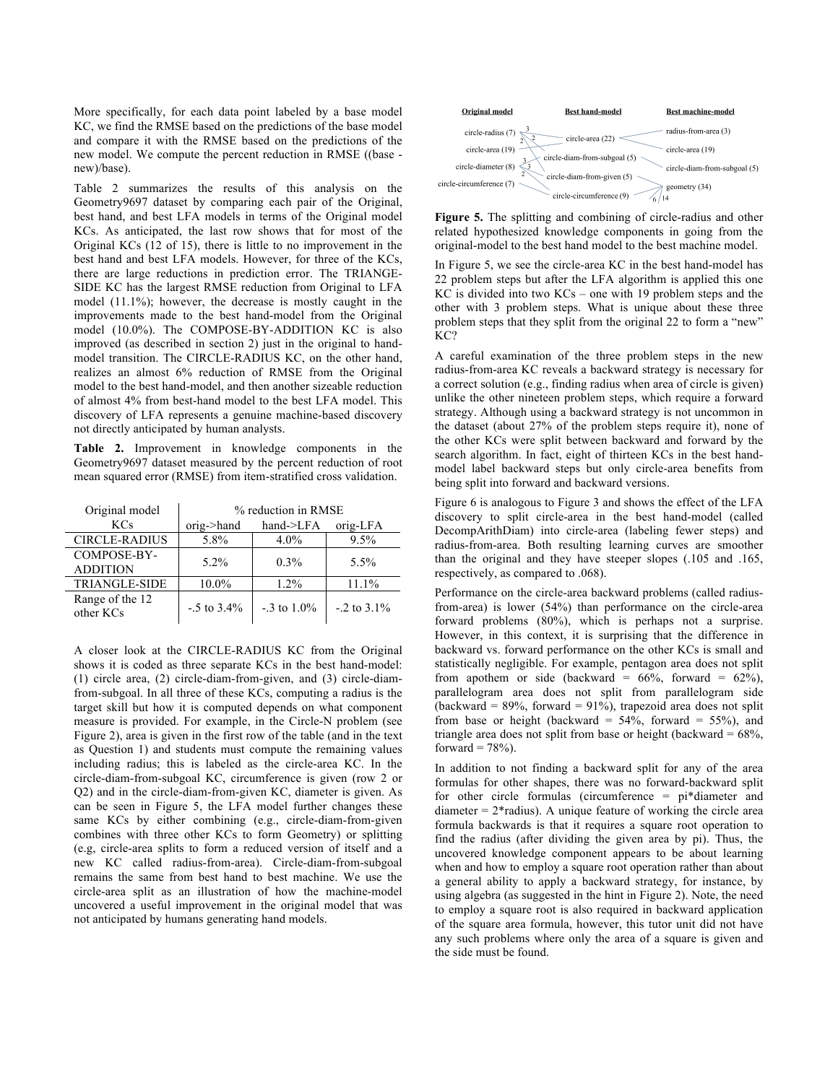More specifically, for each data point labeled by a base model KC, we find the RMSE based on the predictions of the base model and compare it with the RMSE based on the predictions of the new model. We compute the percent reduction in RMSE ((base new)/base).

Table 2 summarizes the results of this analysis on the Geometry9697 dataset by comparing each pair of the Original, best hand, and best LFA models in terms of the Original model KCs. As anticipated, the last row shows that for most of the Original KCs (12 of 15), there is little to no improvement in the best hand and best LFA models. However, for three of the KCs, there are large reductions in prediction error. The TRIANGE-SIDE KC has the largest RMSE reduction from Original to LFA model (11.1%); however, the decrease is mostly caught in the improvements made to the best hand-model from the Original model (10.0%). The COMPOSE-BY-ADDITION KC is also improved (as described in section 2) just in the original to handmodel transition. The CIRCLE-RADIUS KC, on the other hand, realizes an almost 6% reduction of RMSE from the Original model to the best hand-model, and then another sizeable reduction of almost 4% from best-hand model to the best LFA model. This discovery of LFA represents a genuine machine-based discovery not directly anticipated by human analysts.

**Table 2.** Improvement in knowledge components in the Geometry9697 dataset measured by the percent reduction of root mean squared error (RMSE) from item-stratified cross validation.

| Original model                 | % reduction in RMSE |                 |                   |  |
|--------------------------------|---------------------|-----------------|-------------------|--|
| <b>KCs</b>                     | $orig$ ->hand       | hand->LFA       | orig-LFA          |  |
| <b>CIRCLE-RADIUS</b>           | 5.8%                | $4.0\%$         | 9.5%              |  |
| COMPOSE-BY-<br><b>ADDITION</b> | $5.2\%$             | $0.3\%$         | 5.5%              |  |
| <b>TRIANGLE-SIDE</b>           | 10.0%               | 1.2%            | 11.1%             |  |
| Range of the 12<br>other KCs   | $-0.5$ to 3.4%      | $-3$ to $1.0\%$ | $-0.2$ to $3.1\%$ |  |

A closer look at the CIRCLE-RADIUS KC from the Original shows it is coded as three separate KCs in the best hand-model: (1) circle area, (2) circle-diam-from-given, and (3) circle-diamfrom-subgoal. In all three of these KCs, computing a radius is the target skill but how it is computed depends on what component measure is provided. For example, in the Circle-N problem (see Figure 2), area is given in the first row of the table (and in the text as Question 1) and students must compute the remaining values including radius; this is labeled as the circle-area KC. In the circle-diam-from-subgoal KC, circumference is given (row 2 or Q2) and in the circle-diam-from-given KC, diameter is given. As can be seen in Figure 5, the LFA model further changes these same KCs by either combining (e.g., circle-diam-from-given combines with three other KCs to form Geometry) or splitting (e.g, circle-area splits to form a reduced version of itself and a new KC called radius-from-area). Circle-diam-from-subgoal remains the same from best hand to best machine. We use the circle-area split as an illustration of how the machine-model uncovered a useful improvement in the original model that was not anticipated by humans generating hand models.



**Figure 5.** The splitting and combining of circle-radius and other related hypothesized knowledge components in going from the original-model to the best hand model to the best machine model.

In Figure 5, we see the circle-area KC in the best hand-model has 22 problem steps but after the LFA algorithm is applied this one KC is divided into two KCs – one with 19 problem steps and the other with 3 problem steps. What is unique about these three problem steps that they split from the original 22 to form a "new" KC?

A careful examination of the three problem steps in the new radius-from-area KC reveals a backward strategy is necessary for a correct solution (e.g., finding radius when area of circle is given) unlike the other nineteen problem steps, which require a forward strategy. Although using a backward strategy is not uncommon in the dataset (about 27% of the problem steps require it), none of the other KCs were split between backward and forward by the search algorithm. In fact, eight of thirteen KCs in the best handmodel label backward steps but only circle-area benefits from being split into forward and backward versions.

Figure 6 is analogous to Figure 3 and shows the effect of the LFA discovery to split circle-area in the best hand-model (called DecompArithDiam) into circle-area (labeling fewer steps) and radius-from-area. Both resulting learning curves are smoother than the original and they have steeper slopes (.105 and .165, respectively, as compared to .068).

Performance on the circle-area backward problems (called radiusfrom-area) is lower (54%) than performance on the circle-area forward problems (80%), which is perhaps not a surprise. However, in this context, it is surprising that the difference in backward vs. forward performance on the other KCs is small and statistically negligible. For example, pentagon area does not split from apothem or side (backward =  $66\%$ , forward =  $62\%$ ), parallelogram area does not split from parallelogram side (backward =  $89\%$ , forward =  $91\%$ ), trapezoid area does not split from base or height (backward =  $54\%$ , forward =  $55\%$ ), and triangle area does not split from base or height (backward =  $68\%$ , forward =  $78\%$ ).

In addition to not finding a backward split for any of the area formulas for other shapes, there was no forward-backward split for other circle formulas (circumference = pi\*diameter and diameter  $= 2*$ radius). A unique feature of working the circle area formula backwards is that it requires a square root operation to find the radius (after dividing the given area by pi). Thus, the uncovered knowledge component appears to be about learning when and how to employ a square root operation rather than about a general ability to apply a backward strategy, for instance, by using algebra (as suggested in the hint in Figure 2). Note, the need to employ a square root is also required in backward application of the square area formula, however, this tutor unit did not have any such problems where only the area of a square is given and the side must be found.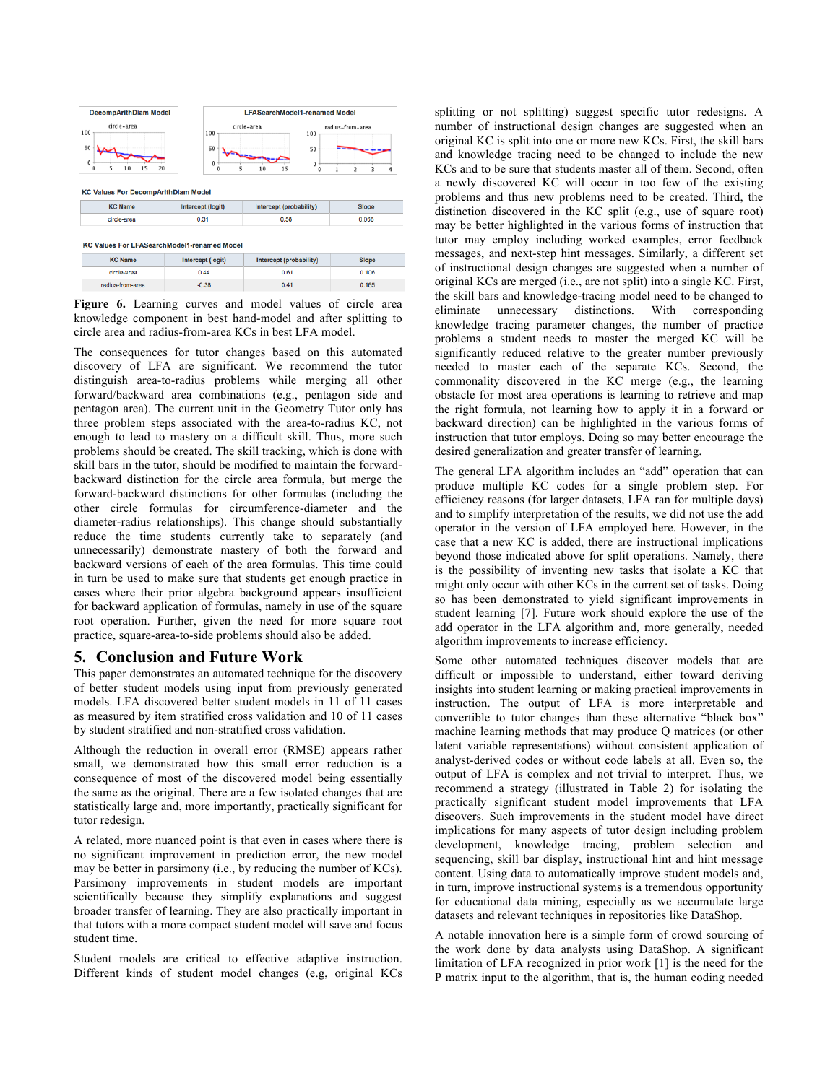| <b>DecompArithDiam Model</b>                                 |                          | <b>LFASearchModel1-renamed Model</b>           |                                              |  |  |
|--------------------------------------------------------------|--------------------------|------------------------------------------------|----------------------------------------------|--|--|
| circle-area<br>100<br>50<br>0<br>10<br>15<br>20<br>5<br>0    | 100<br>50<br>0<br>5<br>0 | circle-area<br>100<br>50<br>0<br>10<br>15<br>ſ | radius-from-area<br>$\overline{2}$<br>3<br>4 |  |  |
| <b>KC Values For DecompArithDiam Model</b><br><b>KC Name</b> | Intercept (logit)        | Intercept (probability)                        | <b>Slope</b>                                 |  |  |
| circle-area                                                  | 0.31                     | 0.58                                           | 0.068                                        |  |  |
| <b>KC Values For LFASearchModel1-renamed Model</b>           |                          |                                                |                                              |  |  |
| <b>KC Name</b>                                               | Intercept (logit)        | Intercept (probability)                        | Slope                                        |  |  |
| circle-area                                                  | 0.44                     | 0.61                                           | 0.106                                        |  |  |

**Figure 6.** Learning curves and model values of circle area knowledge component in best hand-model and after splitting to circle area and radius-from-area KCs in best LFA model.

 $0.41$ 

 $0.165$ 

 $-0.38$ 

radius-from-area

The consequences for tutor changes based on this automated discovery of LFA are significant. We recommend the tutor distinguish area-to-radius problems while merging all other forward/backward area combinations (e.g., pentagon side and pentagon area). The current unit in the Geometry Tutor only has three problem steps associated with the area-to-radius KC, not enough to lead to mastery on a difficult skill. Thus, more such problems should be created. The skill tracking, which is done with skill bars in the tutor, should be modified to maintain the forwardbackward distinction for the circle area formula, but merge the forward-backward distinctions for other formulas (including the other circle formulas for circumference-diameter and the diameter-radius relationships). This change should substantially reduce the time students currently take to separately (and unnecessarily) demonstrate mastery of both the forward and backward versions of each of the area formulas. This time could in turn be used to make sure that students get enough practice in cases where their prior algebra background appears insufficient for backward application of formulas, namely in use of the square root operation. Further, given the need for more square root practice, square-area-to-side problems should also be added.

## **5. Conclusion and Future Work**

This paper demonstrates an automated technique for the discovery of better student models using input from previously generated models. LFA discovered better student models in 11 of 11 cases as measured by item stratified cross validation and 10 of 11 cases by student stratified and non-stratified cross validation.

Although the reduction in overall error (RMSE) appears rather small, we demonstrated how this small error reduction is a consequence of most of the discovered model being essentially the same as the original. There are a few isolated changes that are statistically large and, more importantly, practically significant for tutor redesign.

A related, more nuanced point is that even in cases where there is no significant improvement in prediction error, the new model may be better in parsimony (i.e., by reducing the number of KCs). Parsimony improvements in student models are important scientifically because they simplify explanations and suggest broader transfer of learning. They are also practically important in that tutors with a more compact student model will save and focus student time.

Student models are critical to effective adaptive instruction. Different kinds of student model changes (e.g, original KCs splitting or not splitting) suggest specific tutor redesigns. A number of instructional design changes are suggested when an original KC is split into one or more new KCs. First, the skill bars and knowledge tracing need to be changed to include the new KCs and to be sure that students master all of them. Second, often a newly discovered KC will occur in too few of the existing problems and thus new problems need to be created. Third, the distinction discovered in the KC split (e.g., use of square root) may be better highlighted in the various forms of instruction that tutor may employ including worked examples, error feedback messages, and next-step hint messages. Similarly, a different set of instructional design changes are suggested when a number of original KCs are merged (i.e., are not split) into a single KC. First, the skill bars and knowledge-tracing model need to be changed to eliminate unnecessary distinctions. With corresponding knowledge tracing parameter changes, the number of practice problems a student needs to master the merged KC will be significantly reduced relative to the greater number previously needed to master each of the separate KCs. Second, the commonality discovered in the KC merge (e.g., the learning obstacle for most area operations is learning to retrieve and map the right formula, not learning how to apply it in a forward or backward direction) can be highlighted in the various forms of instruction that tutor employs. Doing so may better encourage the desired generalization and greater transfer of learning.

The general LFA algorithm includes an "add" operation that can produce multiple KC codes for a single problem step. For efficiency reasons (for larger datasets, LFA ran for multiple days) and to simplify interpretation of the results, we did not use the add operator in the version of LFA employed here. However, in the case that a new KC is added, there are instructional implications beyond those indicated above for split operations. Namely, there is the possibility of inventing new tasks that isolate a KC that might only occur with other KCs in the current set of tasks. Doing so has been demonstrated to yield significant improvements in student learning [7]. Future work should explore the use of the add operator in the LFA algorithm and, more generally, needed algorithm improvements to increase efficiency.

Some other automated techniques discover models that are difficult or impossible to understand, either toward deriving insights into student learning or making practical improvements in instruction. The output of LFA is more interpretable and convertible to tutor changes than these alternative "black box" machine learning methods that may produce Q matrices (or other latent variable representations) without consistent application of analyst-derived codes or without code labels at all. Even so, the output of LFA is complex and not trivial to interpret. Thus, we recommend a strategy (illustrated in Table 2) for isolating the practically significant student model improvements that LFA discovers. Such improvements in the student model have direct implications for many aspects of tutor design including problem development, knowledge tracing, problem selection and sequencing, skill bar display, instructional hint and hint message content. Using data to automatically improve student models and, in turn, improve instructional systems is a tremendous opportunity for educational data mining, especially as we accumulate large datasets and relevant techniques in repositories like DataShop.

A notable innovation here is a simple form of crowd sourcing of the work done by data analysts using DataShop. A significant limitation of LFA recognized in prior work [1] is the need for the P matrix input to the algorithm, that is, the human coding needed